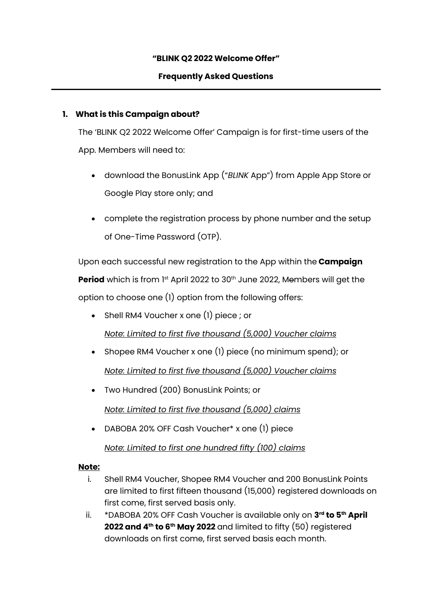#### **"BLINK Q2 2022 Welcome Offer"**

### **Frequently Asked Questions**

#### **1. What is this Campaign about?**

The 'BLINK Q2 2022 Welcome Offer' Campaign is for first-time users of the App. Members will need to:

- download the BonusLink App ("*BLINK* App") from Apple App Store or Google Play store only; and
- complete the registration process by phone number and the setup of One-Time Password (OTP).

Upon each successful new registration to the App within the **Campaign Period** which is from 1st April 2022 to 30<sup>th</sup> June 2022, M<del>e</del>mbers will get the option to choose one (1) option from the following offers:

- Shell RM4 Voucher x one (1) piece ; or *Note: Limited to first five thousand (5,000) Voucher claims*
- Shopee RM4 Voucher x one (1) piece (no minimum spend); or *Note: Limited to first five thousand (5,000) Voucher claims*
- Two Hundred (200) BonusLink Points; or *Note: Limited to first five thousand (5,000) claims*
- DABOBA 20% OFF Cash Voucher\* x one (1) piece

*Note: Limited to first one hundred fifty (100) claims*

### **Note:**

- i. Shell RM4 Voucher, Shopee RM4 Voucher and 200 BonusLink Points are limited to first fifteen thousand (15,000) registered downloads on first come, first served basis only.
- ii. \*DABOBA 20% OFF Cash Voucher is available only on **3 rd to 5th April 2022 and 4 th to 6th May 2022** and limited to fifty (50) registered downloads on first come, first served basis each month.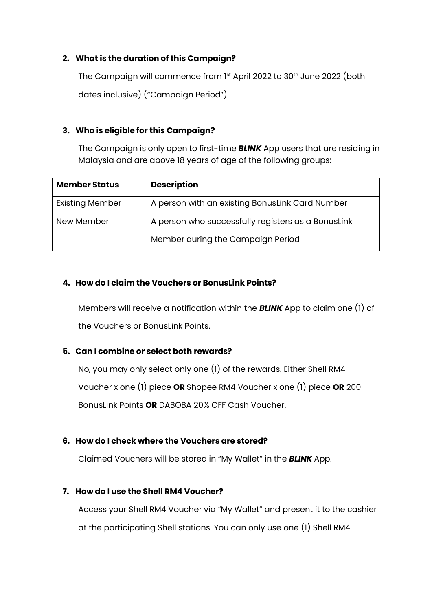## **2. What is the duration of this Campaign?**

The Campaign will commence from 1st April 2022 to 30th June 2022 (both dates inclusive) ("Campaign Period").

### **3. Who is eligible for this Campaign?**

The Campaign is only open to first-time *BLINK* App users that are residing in Malaysia and are above 18 years of age of the following groups:

| <b>Member Status</b>   | <b>Description</b>                                 |
|------------------------|----------------------------------------------------|
| <b>Existing Member</b> | A person with an existing BonusLink Card Number    |
| New Member             | A person who successfully registers as a BonusLink |
|                        | Member during the Campaign Period                  |

## **4. How do I claim the Vouchers or BonusLink Points?**

Members will receive a notification within the *BLINK* App to claim one (1) of the Vouchers or BonusLink Points.

### **5. Can I combine or select both rewards?**

No, you may only select only one (1) of the rewards. Either Shell RM4 Voucher x one (1) piece **OR** Shopee RM4 Voucher x one (1) piece **OR** 200 BonusLink Points **OR** DABOBA 20% OFF Cash Voucher.

# **6. How do I check where the Vouchers are stored?**

Claimed Vouchers will be stored in "My Wallet" in the *BLINK* App.

# **7. How do I use the Shell RM4 Voucher?**

Access your Shell RM4 Voucher via "My Wallet" and present it to the cashier at the participating Shell stations. You can only use one (1) Shell RM4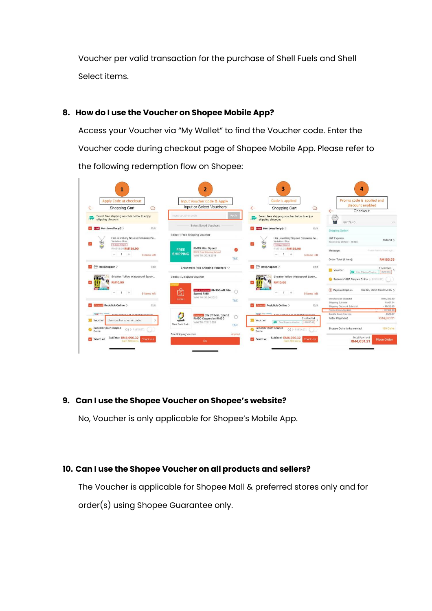Voucher per valid transaction for the purchase of Shell Fuels and Shell Select items.

#### **8. How do I use the Voucher on Shopee Mobile App?**

Access your Voucher via "My Wallet" to find the Voucher code. Enter the Voucher code during checkout page of Shopee Mobile App. Please refer to the following redemption flow on Shopee:

| $\leftarrow$ | Apply Code at checkout<br>Shopping Cart<br>$\odot$                                 | Input Voucher Code & Apply<br><b>Input or Select Vouchers</b>                                                    | Promo code is applied and<br>Code is applied<br>discount enabled<br>$\odot$<br>Shopping Cart<br>$\leftarrow$<br>Checkout<br>$\leftarrow$                                                             |
|--------------|------------------------------------------------------------------------------------|------------------------------------------------------------------------------------------------------------------|------------------------------------------------------------------------------------------------------------------------------------------------------------------------------------------------------|
|              | Select free shipping voucher below to enjoy<br>shipping discount                   | Apply<br>Input youcher.code                                                                                      | Select free shipping voucher below to enjoy<br>Ñ,<br>shipping discount<br>RM179.40<br>π                                                                                                              |
|              | <b>Foll Her Jewellery</b> <sup>®</sup><br>Edit                                     | Select Saved Vouchers                                                                                            | Holl Her Jewellery® ><br>Edit<br><b>Shipping Option</b>                                                                                                                                              |
|              | Her Jewellery Square Cerulean Pe<br>Variation: Blue<br>15 Days Return              | Select 1 Free Shipping Voucher                                                                                   | Her Jewellery Square Cerulean Pe<br><b>J&amp;T</b> Express<br>RM4.13 ><br>Variation: Blue<br>Receive by 28 Nov - 30 Nov<br>15 Days Return                                                            |
|              | RM313.20 RM139.90<br>$-1$ +<br>3 items left                                        | RM19 Min. Spend<br>FREE<br><b>BM19 Free Shipping Sellers</b><br><b>SHIPPING</b><br>Valid Till: 30,11,2019<br>T&C | RM31320 RM139.90<br>Message:<br>Please leave a message.<br>$\mathbf{1}$<br>$+$<br>$-1$<br>3 items left<br>RM183.53<br>Order Total (1 Item):                                                          |
|              | $\heartsuit$ RexShopper ><br>Edit                                                  | Show more Free Shipping Vouchers V                                                                               | $\bigoplus$ RexShopper ><br>Edit<br>M<br>2 selected<br>Voucher<br>Free Shipping Voucher<br>-RM100.00                                                                                                 |
|              | Sneaker Yellow Waterproof Spray<br><b>RM10.00</b>                                  | Select 1 Discount Voucher                                                                                        | Sneaker Yellow Waterproof Spray<br>Redeem 1097 Shopee Coins [ RM10.97]<br>RM10.00                                                                                                                    |
|              | $\mathbf{1}$<br>9 items left                                                       | डि<br>Mail & Preterned RM100 off Min.<br>Spend RMO<br>Valid Till: 30.04.2020                                     | (\$) Payment Option<br>Credit / Debit Card*L61L ><br>$\mathcal{L}$<br>$+$<br>9 items left                                                                                                            |
|              | <b>Redclick Online &gt;</b><br>Edit                                                | SHOPEE<br>T&C.                                                                                                   | Merchandise Subtotal<br>RM4,700.99<br>RM67.54<br>Shipping Subtotal<br><b>Entrance Redclick Online &gt;</b><br>M<br>Edit<br>Shipping Discount Subtotal<br>$-232.65$<br>Promo Code Applied<br>RM100.00 |
|              | A.CO MILE<br>Angle inkage 11/0400/10000/0E<br>Voucher<br>Use voucher or enter code | <b>Minimum 3% off Min. Spend</b><br>С<br>RM50 Capped at RM50<br>Valid Till: 17,01,2020<br>Starz Deals Trad.      | $-RMA.67$<br>Bundle Deals Savings<br><b>LAME MODE</b><br>ande illisen 11/6400 Honorong<br>RM4,631.21<br><b>Total Payment</b><br>2 selected<br>Voucher<br>Free Shipping Vaucher<br>-RM100.00          |
|              | Redeem 1,097 Shopee                                                                | T&C                                                                                                              | Redeem 1,097 Shopee<br>Shopee Coins to be earned<br>150 Coins<br>2 [-RM10.97]                                                                                                                        |

### **9. Can I use the Shopee Voucher on Shopee's website?**

No, Voucher is only applicable for Shopee's Mobile App.

### **10. Can I use the Shopee Voucher on all products and sellers?**

The Voucher is applicable for Shopee Mall & preferred stores only and for

order(s) using Shopee Guarantee only.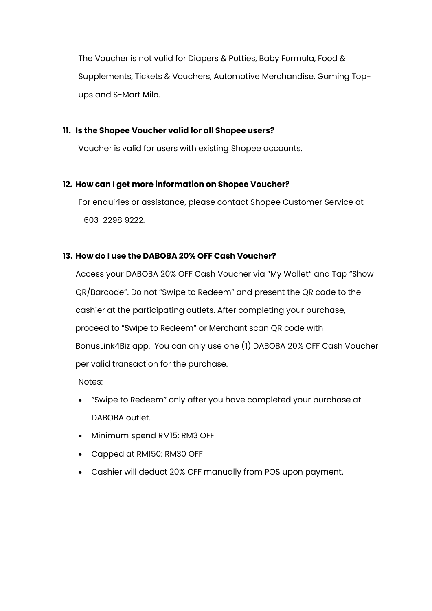The Voucher is not valid for Diapers & Potties, Baby Formula, Food & Supplements, Tickets & Vouchers, Automotive Merchandise, Gaming Topups and S-Mart Milo.

#### **11. Is the Shopee Voucher valid for all Shopee users?**

Voucher is valid for users with existing Shopee accounts.

#### **12. How can I get more information on Shopee Voucher?**

For enquiries or assistance, please contact Shopee Customer Service at +603-2298 9222.

### **13. How do I use the DABOBA 20% OFF Cash Voucher?**

Access your DABOBA 20% OFF Cash Voucher via "My Wallet" and Tap "Show QR/Barcode". Do not "Swipe to Redeem" and present the QR code to the cashier at the participating outlets. After completing your purchase, proceed to "Swipe to Redeem" or Merchant scan QR code with BonusLink4Biz app. You can only use one (1) DABOBA 20% OFF Cash Voucher per valid transaction for the purchase.

Notes:

- "Swipe to Redeem" only after you have completed your purchase at DABOBA outlet.
- Minimum spend RM15: RM3 OFF
- Capped at RM150: RM30 OFF
- Cashier will deduct 20% OFF manually from POS upon payment.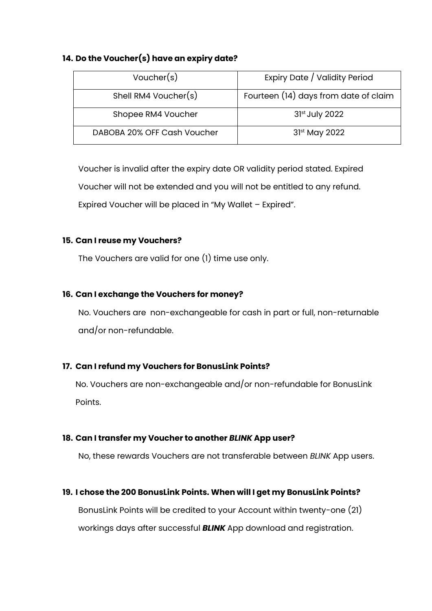## **14. Do the Voucher(s) have an expiry date?**

| Voucher $(s)$               | Expiry Date / Validity Period         |
|-----------------------------|---------------------------------------|
| Shell RM4 Voucher(s)        | Fourteen (14) days from date of claim |
| Shopee RM4 Voucher          | 31 <sup>st</sup> July 2022            |
| DABOBA 20% OFF Cash Voucher | 31 <sup>st</sup> May 2022             |

Voucher is invalid after the expiry date OR validity period stated. Expired

Voucher will not be extended and you will not be entitled to any refund.

Expired Voucher will be placed in "My Wallet – Expired".

## **15. Can I reuse my Vouchers?**

The Vouchers are valid for one (1) time use only.

## **16. Can I exchange the Vouchers for money?**

No. Vouchers are non-exchangeable for cash in part or full, non-returnable and/or non-refundable.

### **17. Can I refund my Vouchers for BonusLink Points?**

No. Vouchers are non-exchangeable and/or non-refundable for BonusLink Points.

### **18. Can I transfer my Voucher to another** *BLINK* **App user?**

No, these rewards Vouchers are not transferable between *BLINK* App users.

# **19. I chose the 200 BonusLink Points. When will I get my BonusLink Points?**

BonusLink Points will be credited to your Account within twenty-one (21) workings days after successful *BLINK* App download and registration.